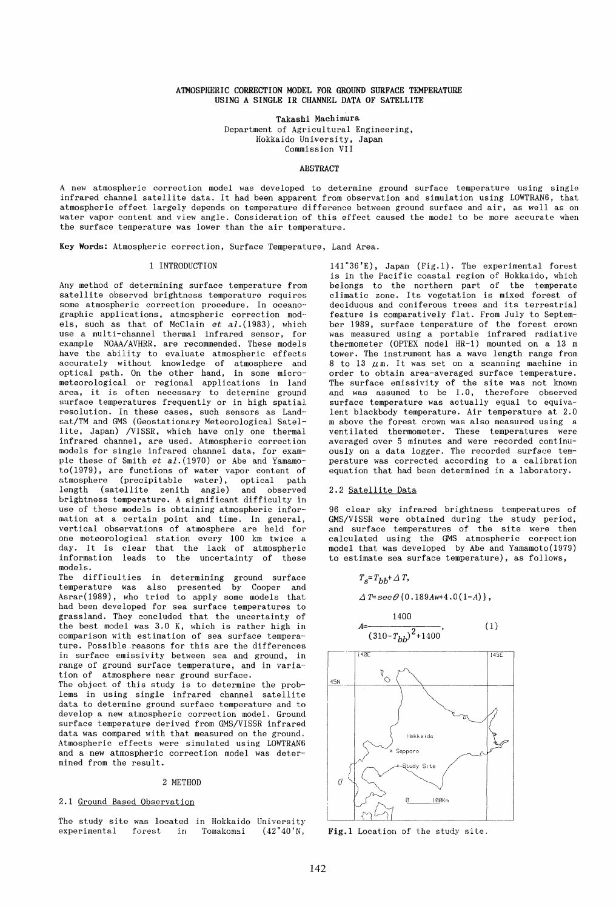## ATMOSPHERIC CORRECTION MODEL FOR GROUND SURFACE TEMPERATURE USING A SINGLE IR CHANNEL DATA OF SATELLITE

Takashi Machimura

Department of Agricultural Engineering, Hokkaido University, Japan Commission VII

#### ABSTRACT

A new atmospheric correction model was developed to determine ground surface temperature using single infrared channel satellite data. It had been apparent from observation and simulation using LOWTRAN6, that atmospheric effect largely depends on temperature difference between ground surface and air, as well as on water vapor content and view angle. Consideration of this effect caused the model to be more accurate when the surface temperature was lower than the air temperature.

Key Words: Atmospheric correction, Surface Temperature, Land Area.

## 1 INTRODUCTION

Any method of determining surface temperature from satellite observed brightness temperature requires some atmospheric correction procedure. In oceanographic applications, atmospheric correction mod- els, such as that of McClain et al. (1983), which use a multi-channel thermal infrared sensor, for example NOAA/AVHRR, are recommended. These models have the ability to evaluate atmospheric effects accurately without knowledge of atmosphere and optical path. On the other hand, in some micrometeorological or regional applications in land area, it is often necessary to determine ground surface temperatures frequently or in high spatial resolution. In these cases, such sensors as Land- sat/TM and GMS (Geostationary Meteorological Satellite, Japan) /VISSR, which have only one thermal infrared channel, are used. Atmospheric correction models for single infrared channel data, for example these of Smith et  $a1.(1970)$  or Abe and Yamamoto(1979), are functions of water vapor content of atmosphere (precipitable water), length (satellite zenith angle) and observed brightness temperature. A significant difficulty in use of these models is obtaining atmospheric infor- mation at a certain point and time. In general, vertical observations of atmosphere are held for one meteorological station every 100 km twice a day. It is clear that the lack of atmospheric information leads to the uncertainty of these models.

The difficulties in determining ground surface temperature was also presented by Cooper and Asrar(1989), who tried to apply some models that had been developed for sea surface temperatures to grassland. They concluded that the uncertainty of the best model was 3.0 K, which is rather high in comparison with estimation of sea surface tempera- ture. Possible reasons for this are the differences in surface emissivity between sea and ground, in range of ground surface temperature, and in varia- tion of atmosphere near ground surface.

The object of this study is to determine the problems in using single infrared channel satellite data to determine ground surface temperature and to develop a new atmospheric correction model. Ground surface temperature derived from GMS/VISSR infrared data was compared with that measured on the ground. Atmospheric effects were simulated using LOWTRAN6 and a new atmospheric correction model was deter- mined from the result.

#### 2 METHOD

## 2.1 Ground Based Observation

The study site was located in Hokkaido University<br>experimental forest in Tomakomai  $(42^{\circ}40^{\prime})$ N, forest in Tomakomai  $(42°40'N,$ 

141 °36'E), Japan (Fig.1). The experimental forest is in the Pacific coastal region of Hokkaido, which belongs to the northern part of the temperate climatic zone. Its vegetation is mixed forest of deciduous and coniferous trees and its terrestrial feature is comparatively flat. From July to September 1989, surface temperature of the forest crown was measured using a portable infrared radiative thermometer (OPTEX model HR-l) mounted on a 13 m tower. The instrument has a wave length range from 8 to 13  $\mu$ m. It was set on a scanning machine in order to obtain area-averaged surface temperature. The surface emissivity of the site was not known and was assumed to be 1.0, therefore observed surface temperature was actually equal to equivalent blackbody temperature. Air temperature at 2.0 m above the forest crown was also measured using a ventilated thermometer. These temperatures were averaged over 5 minutes and were recorded continuously on a data logger. The recorded surface temperature was corrected according to a calibration equation that had been determined in a laboratory.

#### 2.2 Satellite Data

96 clear sky infrared brightness temperatures of GMS/VISSR were obtained during the study period, and surface temperatures of the site were then calculated using the GMS atmospheric correction model that was developed by Abe and Yamamoto(1979) to estimate sea surface temperature), as follows,

$$
T_{S} = T_{bb} + \Delta T,
$$

 $\Delta T = \sec\theta \{0.189Aw+4.0(1-A)\},$ 

$$
A = \frac{1400}{\left(310 - T_{hb}\right)^2 + 1400},\tag{1}
$$



Fig.1 Location of the study site.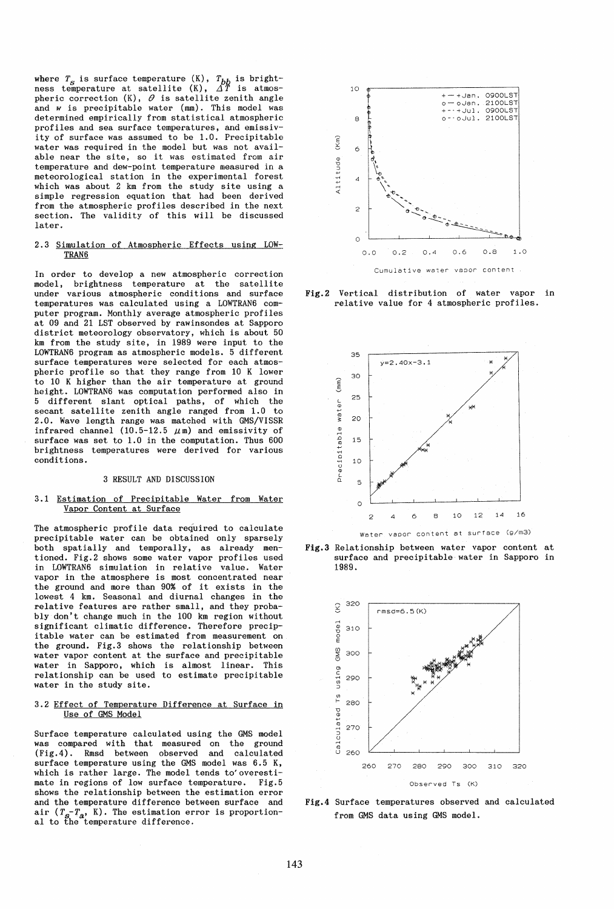where  $T_s$  is surface temperature  $(K)$ ,  $T_{bb}$  is brightness temperature at satellite  $(K)$ ,  $\Delta T$  is atmospheric correction  $(K)$ ,  $\theta$  is satellite zenith angle and *w* is precipitable water (mm). This model was determined empirically from statistical atmospheric profiles and sea surface temperatures, and emissivity of surface was assumed to be 1.0. Precipitable water was required in the model but was not available near the site, so it was estimated from air temperature and dew-point temperature measured in a meteorological station in the experimental forest which was about 2 km from the study site using a simple regression equation that had been derived from the atmospheric profiles described in the next section. The validity of this will be discussed later.

#### 2.3 Simulation of Atmospheric Effects using LOW-TRAN6

In order to develop a new atmospheric correction model, brightness temperature at the satellite under various atmospheric conditions and surface temperatures was calculated using a LOWTRAN6 computer program. Monthly average atmospheric profiles at 09 and 21 LST observed by rawinsondes at Sapporo district meteorology observatory, which is about 50 km from the study site, in 1989 were input to the LOWTRAN6 program as atmospheric models. 5 different surface temperatures were selected for each atmospheric profile so that they range from 10 K lower to 10 K higher than the air temperature at ground height. LOWTRAN6 was computation performed also in 5 different slant optical paths, of which the secant satellite zenith angle ranged from 1.0 to 2.0. Wave length range was matched with GMS/VISSR infrared channel  $(10.5-12.5 \ \mu \text{m})$  and emissivity of surface was set to 1.0 in the computation. Thus 600 brightness temperatures were derived for various conditions.

## 3 RESULT AND DISCUSSION

#### 3.1 Estimation of Precipitable Water from Water Vapor Content at Surface

The atmospheric profile data required to calculate precipitable water can be obtained only sparsely both spatially and temporally, as already mentioned. Fig.2 shows some water vapor profiles used in LOWTRAN6 simulation in relative value. Water vapor in the atmosphere is most concentrated near the ground and more than 90% of it exists in the lowest 4 km. Seasonal and diurnal changes in the relative features are rather small, and they probably don't change much in the 100 km region without significant climatic difference. Therefore precipi table water can be estimated from measurement on the ground. Fig.3 shows the relationship between water vapor content at the surface and precipitable water in Sapporo, which is almost linear. This relationship can be used to estimate precipitable water in the study site.

## 3.2 Effect of Temperature Difference at Surface in Use of GMS Model

Surface temperature calculated using the GMS model was compared with that measured on the ground (Fig.4). Rmsd between observed and calculated surface temperature using the GMS model was 6.5 K, which is rather large. The model tends to'overestimate in regions of low surface temperature. Fig.5 shows the relationship between the estimation error and the temperature difference between surface and air  $(T_s - T_a, K)$ . The estimation error is proportion-<br>al to the temperature difference.



Fig.2 Vertical distribution of water vapor in relative value for 4 atmospheric profiles.







Fig.4 Surface temperatures observed and calculated from GMS data using GMS model.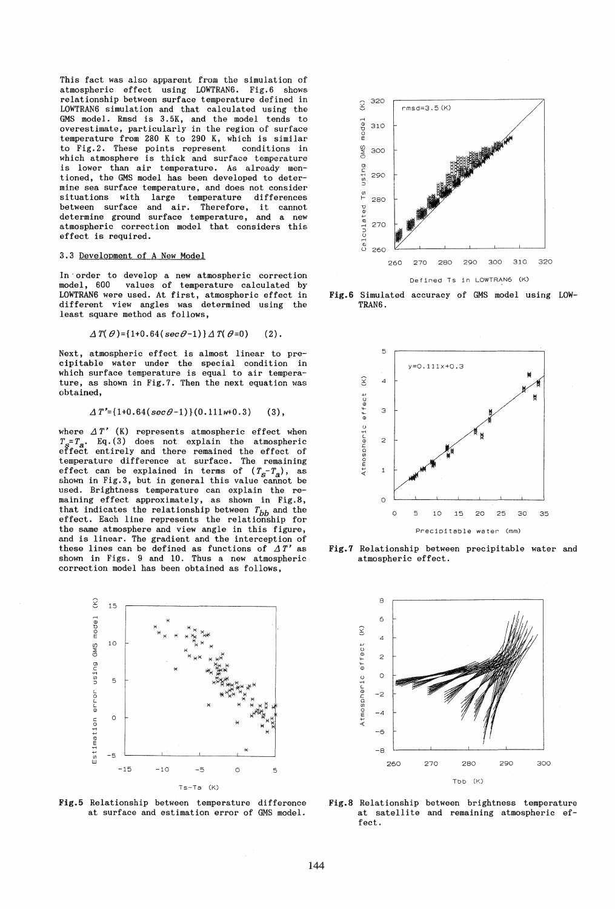This fact was also apparent from the simulation of atmospheric effect using LOWTRAN6. Fig.6 shows relationship between surface temperature defined in LOWTRAN6 simulation and that calculated using the GMS model. Rmsd is 3. 5K, and the model tends to overestimate, particularly in the region of surface temperature from 280 K to 290 K, which is similar to Fig. 2. These points represent conditions in which atmosphere is thick and surface temperature is lower than air temperature. As already mentioned, the GMS model has been developed to determine sea surface temperature, and does not consider situations with large temperature differences between surface and air. Therefore, it cannot determine ground surface temperature, and a new atmospheric correction model that considers this effect is required.

#### 3.3 Development of A New Model

In' order to develop a new atmospheric correction model, 600 values of temperature calculated by LOWTRAN6 were used. At first, atmospheric effect in different view angles was determined using the least square method as follows,

$$
\Delta T(\theta) = \{1+0.64(\sec\theta-1)\}\Delta T(\theta=0) \qquad (2).
$$

Next, atmospheric effect is almost linear to precipitable water under the special condition in which surface temperature is equal to air temperature, as shown in Fig.7. Then the next equation was obtained,

$$
\Delta T' = \{1+0.64(\sec\theta-1)\}(0.111w+0.3) \qquad (3),
$$

where  $\Delta T'$  (K) represents atmospheric effect when  $T_s = T_a$ . Eq. (3) does not explain the atmospheric effect entirely and there remained the effect of temperature difference at surface. The remaining effect can be explained in terms of  $(T_s - T_a)$ , as shown in Fig.3, but in general this value cannot be used. Brightness temperature can explain the remaining effect approximately, as shown in Fig. 8, that indicates the relationship between  $T_{bb}$  and the effect. Each line represents the relationship for the same atmosphere and view angle in this figure, and is linear. The gradient and the interception of these lines can be defined as functions of  $\Delta T'$  as shown in Figs. 9 and 10. Thus a new atmospheric correction model has been obtained as follows,







Fig.6 Simulated accuracy of GMS model using LOW-TRAN6.



Fig.7 Relationship between precipitable water and atmospheric effect.



Fig.S Relationship between brightness temperature at satellite and remaining atmospheric effect.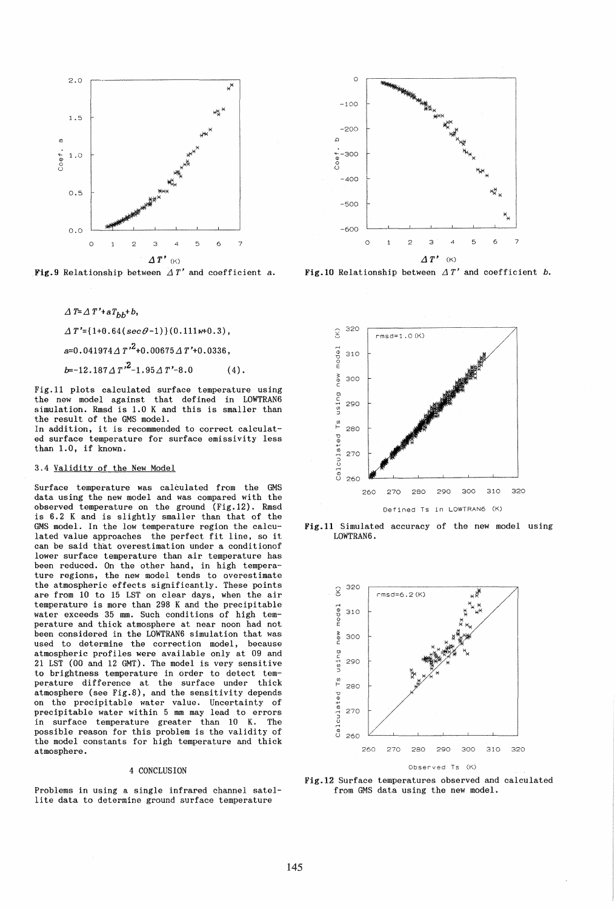

Fig.9 Relationship between  $\Delta T'$  and coefficient a.



 $\Delta T'$ ={ $1+0.64$ ( $sec\theta-1$ )}  $(0.111w+0.3)$ ,  $a=0.041974\Delta T^{2}+0.00675\Delta T'+0.0336$ ,

 $b=-12.187 \text{ A} \frac{T^{3}}{2}-1.95 \text{ A} \frac{T^{3}}{2}-8.0$  (4).

Fig.ll plots calculated surface temperature using the new model against that defined in LOWTRAN6 simulation. Rmsd is 1.0 K and this is smaller than the result of the GMS model.

In addition, it is recommended to correct calculated surface temperature for surface emissivity less than 1.0, if known.

# 3.4 Validity of the New Model

Surface temperature was calculated from the GMS data using the new model and was compared with the observed temperature on the ground (Fig.12). Rmsd is 6.2 K and is slightly smaller than that of the GMS model. In the low temperature region the calculated value approaches the perfect fit line, so it can be said that overestimation under a conditionof lower surface temperature than air temperature has been reduced. On the other hand, in high temperature regions, the new model tends to overestimate the atmospheric effects significantly. These points are from 10 to 15 LST on clear days, when the air temperature is more than 298 K and the precipitable water exceeds 35 mm. Such conditions of high temperature and thick atmosphere at near noon had not been considered in the LOWTRAN6 simulation that was used to determine the correction model, because atmospheric profiles were available only at 09 and 21 LST (00 and 12 GMT). The model is very sensitive to brightness temperature in order to detect temperature difference at the surface under thick atmosphere (see Fig.8), and the sensitivity depends on the precipitable water value. Uncertainty of precipitable water within 5 mm may lead to errors in surface temperature greater than 10 K. The possible reason for this problem is the validity of the model constants for high temperature and thick atmosphere.

## 4 CONCLUSION

Problems in using a single infrared channel satellite data to determine ground surface temperature



Fig.10 Relationship between  $\Delta T'$  and coefficient *b*.



Fig.ll Simulated accuracy of the new model using LOWTRAN6.



Fig.12 Surface temperatures observed and calculated from GMS data using the new model.